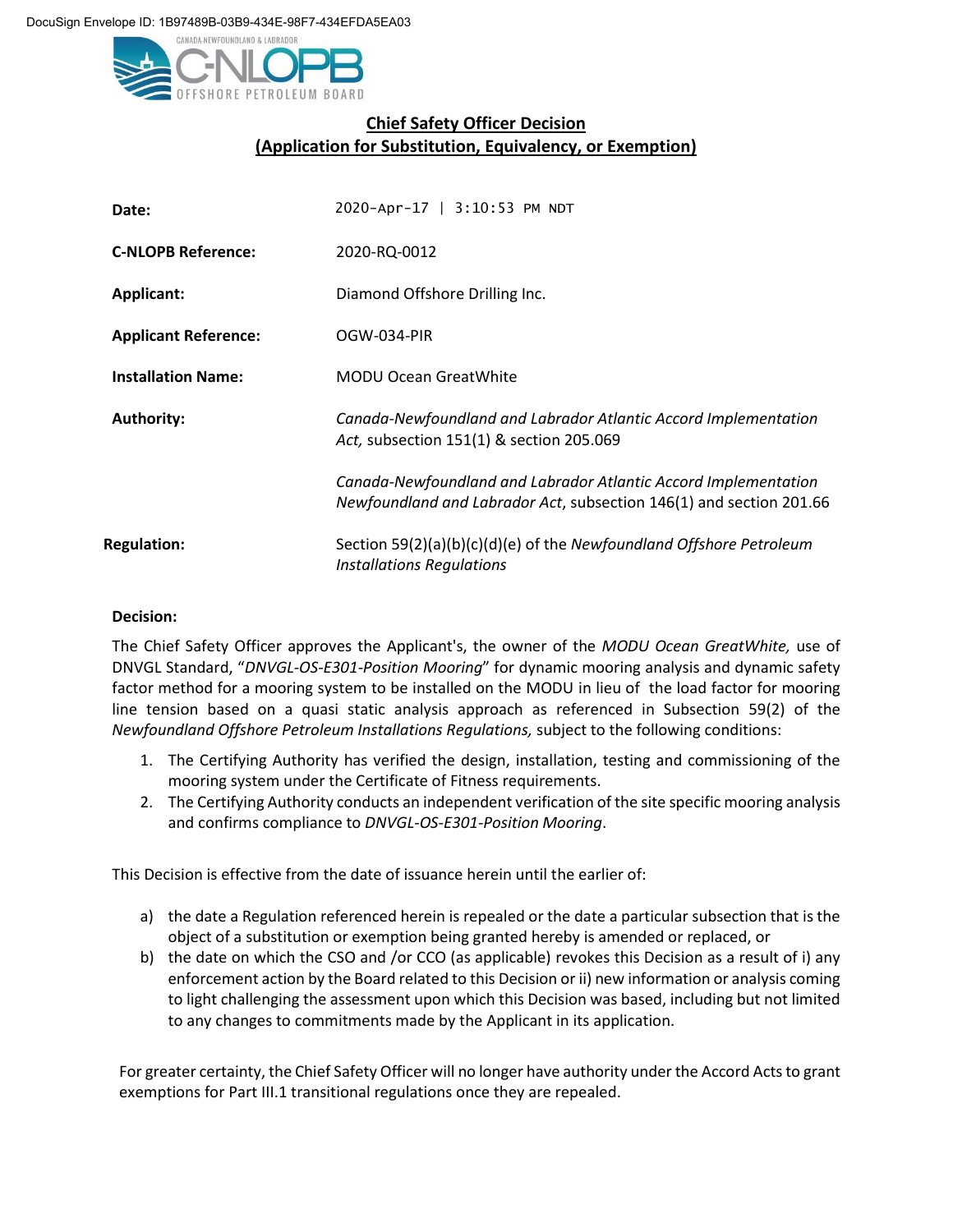

## **Chief Safety Officer Decision (Application for Substitution, Equivalency, or Exemption)**

| Date:                       | 2020-Apr-17   3:10:53 PM NDT                                                                                                           |
|-----------------------------|----------------------------------------------------------------------------------------------------------------------------------------|
| <b>C-NLOPB Reference:</b>   | 2020-RQ-0012                                                                                                                           |
| <b>Applicant:</b>           | Diamond Offshore Drilling Inc.                                                                                                         |
| <b>Applicant Reference:</b> | OGW-034-PIR                                                                                                                            |
| <b>Installation Name:</b>   | <b>MODU Ocean GreatWhite</b>                                                                                                           |
| <b>Authority:</b>           | Canada-Newfoundland and Labrador Atlantic Accord Implementation<br>Act, subsection 151(1) & section 205.069                            |
|                             | Canada-Newfoundland and Labrador Atlantic Accord Implementation<br>Newfoundland and Labrador Act, subsection 146(1) and section 201.66 |
| <b>Regulation:</b>          | Section 59(2)(a)(b)(c)(d)(e) of the Newfoundland Offshore Petroleum<br><b>Installations Regulations</b>                                |

## **Decision:**

The Chief Safety Officer approves the Applicant's, the owner of the *MODU Ocean GreatWhite,* use of DNVGL Standard, "*DNVGL-OS-E301-Position Mooring*" for dynamic mooring analysis and dynamic safety factor method for a mooring system to be installed on the MODU in lieu of the load factor for mooring line tension based on a quasi static analysis approach as referenced in Subsection 59(2) of the *Newfoundland Offshore Petroleum Installations Regulations,* subject to the following conditions:

- 1. The Certifying Authority has verified the design, installation, testing and commissioning of the mooring system under the Certificate of Fitness requirements.
- 2. The Certifying Authority conducts an independent verification of the site specific mooring analysis and confirms compliance to *DNVGL-OS-E301-Position Mooring*.

This Decision is effective from the date of issuance herein until the earlier of:

- a) the date a Regulation referenced herein is repealed or the date a particular subsection that is the object of a substitution or exemption being granted hereby is amended or replaced, or
- b) the date on which the CSO and /or CCO (as applicable) revokes this Decision as a result of i) any enforcement action by the Board related to this Decision or ii) new information or analysis coming to light challenging the assessment upon which this Decision was based, including but not limited to any changes to commitments made by the Applicant in its application.

For greater certainty, the Chief Safety Officer will no longer have authority under the Accord Acts to grant exemptions for Part III.1 transitional regulations once they are repealed.